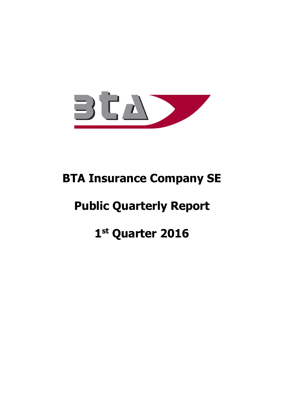

# **BTA Insurance Company SE**

# **Public Quarterly Report**

# **1 st Quarter 2016**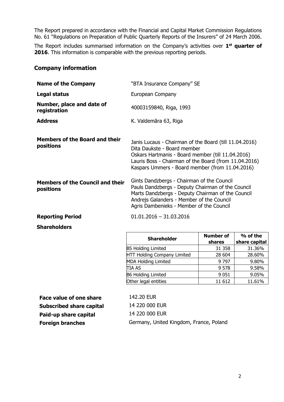The Report prepared in accordance with the Financial and Capital Market Commission Regulations No. 61 "Regulations on Preparation of Public Quarterly Reports of the Insurers" of 24 March 2006.

The Report includes summarised information on the Company's activities over **1 st quarter of 2016**. This information is comparable with the previous reporting periods.

#### **Company information**

| <b>Name of the Company</b>                           | "BTA Insurance Company" SE                                                                                                                                                                                                                             |  |  |
|------------------------------------------------------|--------------------------------------------------------------------------------------------------------------------------------------------------------------------------------------------------------------------------------------------------------|--|--|
| Legal status                                         | European Company                                                                                                                                                                                                                                       |  |  |
| Number, place and date of<br>registration            | 40003159840, Riga, 1993                                                                                                                                                                                                                                |  |  |
| <b>Address</b>                                       | K. Valdemāra 63, Riga                                                                                                                                                                                                                                  |  |  |
| <b>Members of the Board and their</b><br>positions   | Janis Lucaus - Chairman of the Board (till 11.04.2016)<br>Dita Daukste - Board member<br>Oskars Hartmanis - Board member (till 11.04.2016)<br>Lauris Boss - Chairman of the Board (from 11.04.2016)<br>Kaspars Ummers - Board member (from 11.04.2016) |  |  |
| <b>Members of the Council and their</b><br>positions | Gints Dandzbergs - Chairman of the Council<br>Pauls Dandzbergs - Deputy Chairman of the Council<br>Marts Dandzbergs - Deputy Chairman of the Council<br>Andrejs Galanders - Member of the Council<br>Agris Dambenieks - Member of the Council          |  |  |
| <b>Reporting Period</b>                              | $01.01.2016 - 31.03.2016$                                                                                                                                                                                                                              |  |  |

#### **Shareholders**

| <b>Shareholder</b>                 | <b>Number of</b><br>shares | % of the<br>share capital |
|------------------------------------|----------------------------|---------------------------|
| <b>B5 Holding Limited</b>          | 31 358                     | 31.36%                    |
| <b>HTT Holding Company Limited</b> | 28 604                     | 28.60%                    |
| <b>MDA Holding Limited</b>         | 9 7 9 7                    | 9.80%                     |
| <b>TIA AS</b>                      | 9 5 7 8                    | 9.58%                     |
| <b>B6 Holding Limited</b>          | 9 0 5 1                    | 9.05%                     |
| Other legal entities               | 11 612                     | 11.61%                    |

**Face value of one share** 142.20 EUR **Subscribed share capital** 14 220 000 EUR **Paid-up share capital** 14 220 000 EUR

**Foreign branches Germany, United Kingdom, France, Poland**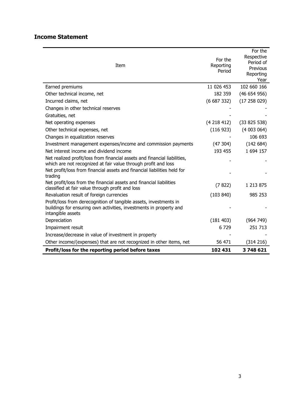# **Income Statement**

| Item                                                                                                                                                         | For the<br>Reporting<br>Period | For the<br>Respective<br>Period of<br>Previous<br>Reporting<br>Year |
|--------------------------------------------------------------------------------------------------------------------------------------------------------------|--------------------------------|---------------------------------------------------------------------|
| Earned premiums                                                                                                                                              | 11 026 453                     | 102 660 166                                                         |
| Other technical income, net                                                                                                                                  | 182 359                        | (46654956)                                                          |
| Incurred claims, net                                                                                                                                         | (6687332)                      | (17258029)                                                          |
| Changes in other technical reserves                                                                                                                          |                                |                                                                     |
| Gratuities, net                                                                                                                                              |                                |                                                                     |
| Net operating expenses                                                                                                                                       | (4218412)                      | (33825538)                                                          |
| Other technical expenses, net                                                                                                                                | (116923)                       | (4003064)                                                           |
| Changes in equalization reserves                                                                                                                             |                                | 106 693                                                             |
| Investment management expenses/income and commission payments                                                                                                | (47304)                        | (142684)                                                            |
| Net interest income and dividend income                                                                                                                      | 193 455                        | 1 694 157                                                           |
| Net realized profit/loss from financial assets and financial liabilities,<br>which are not recognized at fair value through profit and loss                  |                                |                                                                     |
| Net profit/loss from financial assets and financial liabilities held for<br>trading                                                                          |                                |                                                                     |
| Net profit/loss from the financial assets and financial liabilities<br>classified at fair value through profit and loss                                      | (7822)                         | 1 213 875                                                           |
| Revaluation result of foreign currencies                                                                                                                     | (103 840)                      | 985 253                                                             |
| Profit/loss from derecognition of tangible assets, investments in<br>buildings for ensuring own activities, investments in property and<br>intangible assets |                                |                                                                     |
| Depreciation                                                                                                                                                 | (181 403)                      | (964 749)                                                           |
| Impairment result                                                                                                                                            | 6729                           | 251 713                                                             |
| Increase/decrease in value of investment in property                                                                                                         |                                |                                                                     |
| Other income/(expenses) that are not recognized in other items, net                                                                                          | 56 471                         | (314 216)                                                           |
| Profit/loss for the reporting period before taxes                                                                                                            | 102 431                        | 3748621                                                             |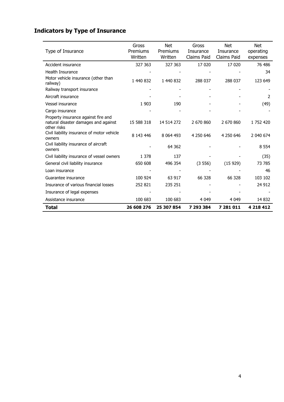# **Indicators by Type of Insurance**

| Type of Insurance                                                                          | Gross<br>Premiums<br>Written | <b>Net</b><br>Premiums<br>Written | Gross<br>Insurance<br>Claims Paid | <b>Net</b><br>Insurance<br>Claims Paid | <b>Net</b><br>operating<br>expenses |
|--------------------------------------------------------------------------------------------|------------------------------|-----------------------------------|-----------------------------------|----------------------------------------|-------------------------------------|
| Accident insurance                                                                         | 327 363                      | 327 363                           | 17 020                            | 17 0 20                                | 76 486                              |
| <b>Health Insurance</b>                                                                    |                              |                                   |                                   |                                        | 34                                  |
| Motor vehicle insurance (other than<br>railway)                                            | 1 440 832                    | 1 440 832                         | 288 037                           | 288 037                                | 123 649                             |
| Railway transport insurance                                                                |                              |                                   |                                   |                                        |                                     |
| Aircraft insurance                                                                         |                              |                                   |                                   |                                        | 2                                   |
| Vessel insurance                                                                           | 1 9 0 3                      | 190                               |                                   |                                        | (49)                                |
| Cargo insurance                                                                            |                              |                                   |                                   |                                        |                                     |
| Property insurance against fire and<br>natural disaster damages and against<br>other risks | 15 588 318                   | 14 514 272                        | 2 670 860                         | 2 670 860                              | 1 752 420                           |
| Civil liability insurance of motor vehicle<br>owners                                       | 8 143 446                    | 8 0 64 4 93                       | 4 250 646                         | 4 250 646                              | 2 040 674                           |
| Civil liability insurance of aircraft<br>owners                                            |                              | 64 3 62                           |                                   |                                        | 8 5 5 4                             |
| Civil liability insurance of vessel owners                                                 | 1 3 7 8                      | 137                               |                                   |                                        | (35)                                |
| General civil liability insurance                                                          | 650 608                      | 496 354                           | (3556)                            | (15929)                                | 73 785                              |
| Loan insurance                                                                             |                              |                                   |                                   |                                        | 46                                  |
| Guarantee insurance                                                                        | 100 924                      | 63 917                            | 66 328                            | 66 328                                 | 103 102                             |
| Insurance of various financial losses                                                      | 252 821                      | 235 251                           |                                   |                                        | 24 912                              |
| Insurance of legal expenses                                                                |                              |                                   |                                   |                                        |                                     |
| Assistance insurance                                                                       | 100 683                      | 100 683                           | 4 0 4 9                           | 4 0 4 9                                | 14 8 32                             |
| <b>Total</b>                                                                               | 26 608 276                   | 25 307 854                        | 7 293 384                         | 7 281 011                              | 4 218 412                           |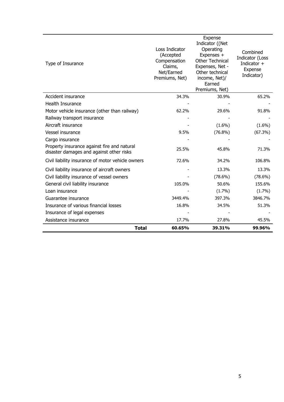| Type of Insurance                                                                       | Loss Indicator<br>(Accepted<br>Compensation<br>Claims,<br>Net/Earned<br>Premiums, Net) | Expense<br>Indicator ((Net<br>Operating<br>Expenses +<br>Other Technical<br>Expenses, Net -<br>Other technical<br>income, Net)/<br>Earned<br>Premiums, Net) | Combined<br>Indicator (Loss<br>Indicator +<br>Expense<br>Indicator) |
|-----------------------------------------------------------------------------------------|----------------------------------------------------------------------------------------|-------------------------------------------------------------------------------------------------------------------------------------------------------------|---------------------------------------------------------------------|
| Accident insurance                                                                      | 34.3%                                                                                  | 30.9%                                                                                                                                                       | 65.2%                                                               |
| <b>Health Insurance</b>                                                                 |                                                                                        |                                                                                                                                                             |                                                                     |
| Motor vehicle insurance (other than railway)                                            | 62.2%                                                                                  | 29.6%                                                                                                                                                       | 91.8%                                                               |
| Railway transport insurance                                                             |                                                                                        |                                                                                                                                                             |                                                                     |
| Aircraft insurance                                                                      |                                                                                        | $(1.6\%)$                                                                                                                                                   | $(1.6\%)$                                                           |
| Vessel insurance                                                                        | 9.5%                                                                                   | $(76.8\%)$                                                                                                                                                  | (67.3%)                                                             |
| Cargo insurance                                                                         |                                                                                        |                                                                                                                                                             |                                                                     |
| Property insurance against fire and natural<br>disaster damages and against other risks | 25.5%                                                                                  | 45.8%                                                                                                                                                       | 71.3%                                                               |
| Civil liability insurance of motor vehicle owners                                       | 72.6%                                                                                  | 34.2%                                                                                                                                                       | 106.8%                                                              |
| Civil liability insurance of aircraft owners                                            |                                                                                        | 13.3%                                                                                                                                                       | 13.3%                                                               |
| Civil liability insurance of vessel owners                                              |                                                                                        | $(78.6\%)$                                                                                                                                                  | $(78.6\%)$                                                          |
| General civil liability insurance                                                       | 105.0%                                                                                 | 50.6%                                                                                                                                                       | 155.6%                                                              |
| Loan insurance                                                                          |                                                                                        | (1.7%)                                                                                                                                                      | (1.7%)                                                              |
| Guarantee insurance                                                                     | 3449.4%                                                                                | 397.3%                                                                                                                                                      | 3846.7%                                                             |
| Insurance of various financial losses                                                   | 16.8%                                                                                  | 34.5%                                                                                                                                                       | 51.3%                                                               |
| Insurance of legal expenses                                                             |                                                                                        |                                                                                                                                                             |                                                                     |
| Assistance insurance                                                                    | 17.7%                                                                                  | 27.8%                                                                                                                                                       | 45.5%                                                               |
| <b>Total</b>                                                                            | 60.65%                                                                                 | 39.31%                                                                                                                                                      | 99.96%                                                              |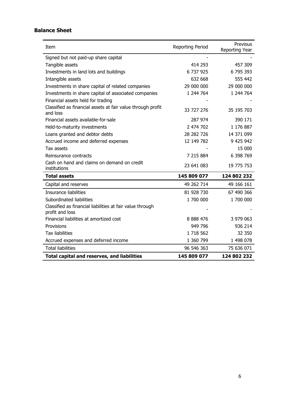# **Balance Sheet**

| Item                                                                    | <b>Reporting Period</b> | Previous<br>Reporting Year |
|-------------------------------------------------------------------------|-------------------------|----------------------------|
| Signed but not paid-up share capital                                    |                         |                            |
| Tangible assets                                                         | 414 293                 | 457 309                    |
| Investments in land lots and buildings                                  | 6 737 925               | 6795393                    |
| Intangible assets                                                       | 632 668                 | 555 442                    |
| Investments in share capital of related companies                       | 29 000 000              | 29 000 000                 |
| Investments in share capital of associated companies                    | 1 244 764               | 1 244 764                  |
| Financial assets held for trading                                       |                         |                            |
| Classified as financial assets at fair value through profit<br>and loss | 33 727 276              | 35 195 703                 |
| Financial assets available-for-sale                                     | 287 974                 | 390 171                    |
| Held-to-maturity investments                                            | 2 474 702               | 1 176 887                  |
| Loans granted and debtor debts                                          | 28 282 726              | 14 371 099                 |
| Accrued income and deferred expenses                                    | 12 149 782              | 9 425 942                  |
| Tax assets                                                              |                         | 15 000                     |
| Reinsurance contracts                                                   | 7 215 884               | 6 398 769                  |
| Cash on hand and claims on demand on credit<br>institutions             | 23 641 083              | 19 775 753                 |
| <b>Total assets</b>                                                     | 145 809 077             | 124 802 232                |
| Capital and reserves                                                    | 49 262 714              | 49 166 161                 |
| Insurance liabilities                                                   | 81 928 730              | 67 490 366                 |
| Subordinated liabilities                                                | 1 700 000               | 1 700 000                  |
| Classified as financial liabilities at fair value through               |                         |                            |
| profit and loss                                                         |                         |                            |
| Financial liabilities at amortized cost                                 | 8 8 8 4 7 6             | 3 979 063                  |
| Provisions                                                              | 949 796                 | 936 214                    |
| <b>Tax liabilities</b>                                                  | 1 718 562               | 32 350                     |
| Accrued expenses and deferred income                                    | 1 360 799               | 1 498 078                  |
| <b>Total liabilities</b>                                                | 96 546 363              | 75 636 071                 |
| <b>Total capital and reserves, and liabilities</b>                      | 145 809 077             | 124 802 232                |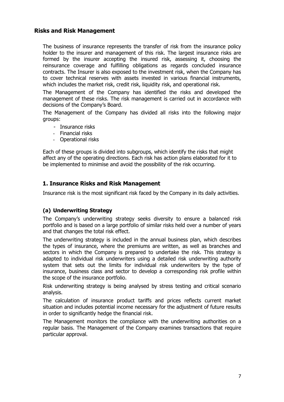### **Risks and Risk Management**

The business of insurance represents the transfer of risk from the insurance policy holder to the insurer and management of this risk. The largest insurance risks are formed by the insurer accepting the insured risk, assessing it, choosing the reinsurance coverage and fulfilling obligations as regards concluded insurance contracts. The Insurer is also exposed to the investment risk, when the Company has to cover technical reserves with assets invested in various financial instruments, which includes the market risk, credit risk, liquidity risk, and operational risk.

The Management of the Company has identified the risks and developed the management of these risks. The risk management is carried out in accordance with decisions of the Company's Board.

The Management of the Company has divided all risks into the following major groups:

- Insurance risks
- Financial risks
- Operational risks

Each of these groups is divided into subgroups, which identify the risks that might affect any of the operating directions. Each risk has action plans elaborated for it to be implemented to minimise and avoid the possibility of the risk occurring.

# **1. Insurance Risks and Risk Management**

Insurance risk is the most significant risk faced by the Company in its daily activities.

#### **(a) Underwriting Strategy**

The Company's underwriting strategy seeks diversity to ensure a balanced risk portfolio and is based on a large portfolio of similar risks held over a number of years and that changes the total risk effect.

The underwriting strategy is included in the annual business plan, which describes the types of insurance, where the premiums are written, as well as branches and sectors in which the Company is prepared to undertake the risk. This strategy is adapted to individual risk underwriters using a detailed risk underwriting authority system that sets out the limits for individual risk underwriters by the type of insurance, business class and sector to develop a corresponding risk profile within the scope of the insurance portfolio.

Risk underwriting strategy is being analysed by stress testing and critical scenario analysis.

The calculation of insurance product tariffs and prices reflects current market situation and includes potential income necessary for the adjustment of future results in order to significantly hedge the financial risk.

The Management monitors the compliance with the underwriting authorities on a regular basis. The Management of the Company examines transactions that require particular approval.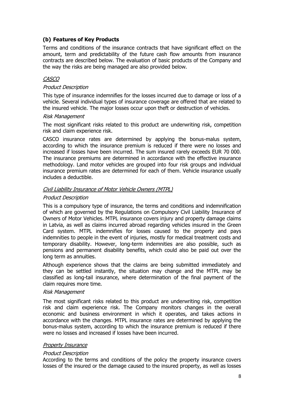#### **(b) Features of Key Products**

Terms and conditions of the insurance contracts that have significant effect on the amount, term and predictability of the future cash flow amounts from insurance contracts are described below. The evaluation of basic products of the Company and the way the risks are being managed are also provided below.

#### CASCO

#### Product Description

This type of insurance indemnifies for the losses incurred due to damage or loss of a vehicle. Several individual types of insurance coverage are offered that are related to the insured vehicle. The major losses occur upon theft or destruction of vehicles.

#### Risk Management

The most significant risks related to this product are underwriting risk, competition risk and claim experience risk.

CASCO insurance rates are determined by applying the bonus-malus system, according to which the insurance premium is reduced if there were no losses and increased if losses have been incurred. The sum insured rarely exceeds EUR 70 000. The insurance premiums are determined in accordance with the effective insurance methodology. Land motor vehicles are grouped into four risk groups and individual insurance premium rates are determined for each of them. Vehicle insurance usually includes a deductible.

#### Civil Liability Insurance of Motor Vehicle Owners (MTPL)

#### Product Description

This is a compulsory type of insurance, the terms and conditions and indemnification of which are governed by the Regulations on Compulsory Civil Liability Insurance of Owners of Motor Vehicles. MTPL insurance covers injury and property damage claims in Latvia, as well as claims incurred abroad regarding vehicles insured in the Green Card system. MTPL indemnifies for losses caused to the property and pays indemnities to people in the event of injuries, mostly for medical treatment costs and temporary disability. However, long-term indemnities are also possible, such as pensions and permanent disability benefits, which could also be paid out over the long term as annuities.

Although experience shows that the claims are being submitted immediately and they can be settled instantly, the situation may change and the MTPL may be classified as long-tail insurance, where determination of the final payment of the claim requires more time.

#### Risk Management

The most significant risks related to this product are underwriting risk, competition risk and claim experience risk. The Company monitors changes in the overall economic and business environment in which it operates, and takes actions in accordance with the changes. MTPL insurance rates are determined by applying the bonus-malus system, according to which the insurance premium is reduced if there were no losses and increased if losses have been incurred.

#### Property Insurance

#### Product Description

According to the terms and conditions of the policy the property insurance covers losses of the insured or the damage caused to the insured property, as well as losses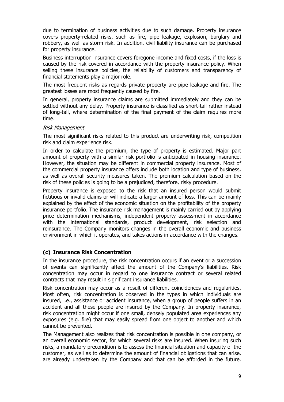due to termination of business activities due to such damage. Property insurance covers property-related risks, such as fire, pipe leakage, explosion, burglary and robbery, as well as storm risk. In addition, civil liability insurance can be purchased for property insurance.

Business interruption insurance covers foregone income and fixed costs, if the loss is caused by the risk covered in accordance with the property insurance policy. When selling these insurance policies, the reliability of customers and transparency of financial statements play a major role.

The most frequent risks as regards private property are pipe leakage and fire. The greatest losses are most frequently caused by fire.

In general, property insurance claims are submitted immediately and they can be settled without any delay. Property insurance is classified as short-tail rather instead of long-tail, where determination of the final payment of the claim requires more time.

#### Risk Management

The most significant risks related to this product are underwriting risk, competition risk and claim experience risk.

In order to calculate the premium, the type of property is estimated. Major part amount of property with a similar risk portfolio is anticipated in housing insurance. However, the situation may be different in commercial property insurance. Most of the commercial property insurance offers include both location and type of business, as well as overall security measures taken. The premium calculation based on the risk of these policies is going to be a prejudiced, therefore, risky procedure.

Property insurance is exposed to the risk that an insured person would submit fictitious or invalid claims or will indicate a larger amount of loss. This can be mainly explained by the effect of the economic situation on the profitability of the property insurance portfolio. The insurance risk management is mainly carried out by applying price determination mechanisms, independent property assessment in accordance with the international standards, product development, risk selection and reinsurance. The Company monitors changes in the overall economic and business environment in which it operates, and takes actions in accordance with the changes.

#### **(c) Insurance Risk Concentration**

In the insurance procedure, the risk concentration occurs if an event or a succession of events can significantly affect the amount of the Company's liabilities. Risk concentration may occur in regard to one insurance contract or several related contracts that may result in significant insurance liabilities.

Risk concentration may occur as a result of different coincidences and regularities. Most often, risk concentration is observed in the types in which individuals are insured, i.e., assistance or accident insurance, when a group of people suffers in an accident and all these people are insured by the Company. In property insurance, risk concentration might occur if one small, densely populated area experiences any exposures (e.g. fire) that may easily spread from one object to another and which cannot be prevented.

The Management also realizes that risk concentration is possible in one company, or an overall economic sector, for which several risks are insured. When insuring such risks, a mandatory precondition is to assess the financial situation and capacity of the customer, as well as to determine the amount of financial obligations that can arise, are already undertaken by the Company and that can be afforded in the future.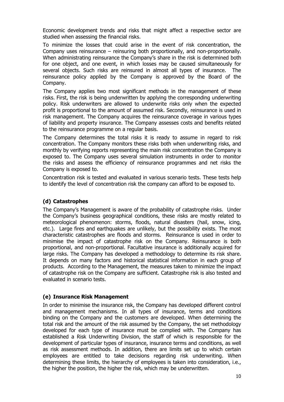Economic development trends and risks that might affect a respective sector are studied when assessing the financial risks.

To minimize the losses that could arise in the event of risk concentration, the Company uses reinsurance – reinsuring both proportionally, and non-proportionally. When administrating reinsurance the Company's share in the risk is determined both for one object, and one event, in which losses may be caused simultaneously for several objects. Such risks are reinsured in almost all types of insurance. The reinsurance policy applied by the Company is approved by the Board of the Company.

The Company applies two most significant methods in the management of these risks. First, the risk is being underwritten by applying the corresponding underwriting policy. Risk underwriters are allowed to underwrite risks only when the expected profit is proportional to the amount of assumed risk. Secondly, reinsurance is used in risk management. The Company acquires the reinsurance coverage in various types of liability and property insurance. The Company assesses costs and benefits related to the reinsurance programme on a regular basis.

The Company determines the total risks it is ready to assume in regard to risk concentration. The Company monitors these risks both when underwriting risks, and monthly by verifying reports representing the main risk concentration the Company is exposed to. The Company uses several simulation instruments in order to monitor the risks and assess the efficiency of reinsurance programmes and net risks the Company is exposed to.

Concentration risk is tested and evaluated in various scenario tests. These tests help to identify the level of concentration risk the company can afford to be exposed to.

#### **(d) Catastrophes**

The Company's Management is aware of the probability of catastrophe risks. Under the Company's business geographical conditions, these risks are mostly related to meteorological phenomenon: storms, floods, natural disasters (hail, snow, icing, etc.). Large fires and earthquakes are unlikely, but the possibility exists. The most characteristic catastrophes are floods and storms. Reinsurance is used in order to minimise the impact of catastrophe risk on the Company. Reinsurance is both proportional, and non-proportional. Facultative insurance is additionally acquired for large risks. The Company has developed a methodology to determine its risk share. It depends on many factors and historical statistical information in each group of products. According to the Management, the measures taken to minimize the impact of catastrophe risk on the Company are sufficient. Catastrophe risk is also tested and evaluated in scenario tests.

#### **(e) Insurance Risk Management**

In order to minimise the insurance risk, the Company has developed different control and management mechanisms. In all types of insurance, terms and conditions binding on the Company and the customers are developed. When determining the total risk and the amount of the risk assumed by the Company, the set methodology developed for each type of insurance must be complied with. The Company has established a Risk Underwriting Division, the staff of which is responsible for the development of particular types of insurance, insurance terms and conditions, as well as risk assessment methods. In addition, there are limits set up to which certain employees are entitled to take decisions regarding risk underwriting. When determining these limits, the hierarchy of employees is taken into consideration, i.e., the higher the position, the higher the risk, which may be underwritten.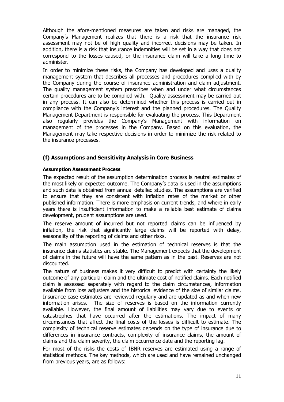Although the afore-mentioned measures are taken and risks are managed, the Company's Management realizes that there is a risk that the insurance risk assessment may not be of high quality and incorrect decisions may be taken. In addition, there is a risk that insurance indemnities will be set in a way that does not correspond to the losses caused, or the insurance claim will take a long time to administer.

In order to minimize these risks, the Company has developed and uses a quality management system that describes all processes and procedures complied with by the Company during the course of insurance administration and claim adjustment. The quality management system prescribes when and under what circumstances certain procedures are to be complied with. Quality assessment may be carried out in any process. It can also be determined whether this process is carried out in compliance with the Company's interest and the planned procedures. The Quality Management Department is responsible for evaluating the process. This Department also regularly provides the Company's Management with information on management of the processes in the Company. Based on this evaluation, the Management may take respective decisions in order to minimize the risk related to the insurance processes.

#### **(f) Assumptions and Sensitivity Analysis in Core Business**

#### **Assumption Assessment Process**

The expected result of the assumption determination process is neutral estimates of the most likely or expected outcome. The Company's data is used in the assumptions and such data is obtained from annual detailed studies. The assumptions are verified to ensure that they are consistent with inflation rates of the market or other published information. There is more emphasis on current trends, and where in early years there is insufficient information to make a reliable best estimate of claims development, prudent assumptions are used.

The reserve amount of incurred but not reported claims can be influenced by inflation, the risk that significantly large claims will be reported with delay, seasonality of the reporting of claims and other risks.

The main assumption used in the estimation of technical reserves is that the insurance claims statistics are stable. The Management expects that the development of claims in the future will have the same pattern as in the past. Reserves are not discounted.

The nature of business makes it very difficult to predict with certainty the likely outcome of any particular claim and the ultimate cost of notified claims. Each notified claim is assessed separately with regard to the claim circumstances, information available from loss adjusters and the historical evidence of the size of similar claims. Insurance case estimates are reviewed regularly and are updated as and when new information arises. The size of reserves is based on the information currently available. However, the final amount of liabilities may vary due to events or catastrophes that have occurred after the estimations. The impact of many circumstances that affect the final costs of the losses is difficult to estimate. The complexity of technical reserve estimates depends on the type of insurance due to differences in insurance contracts, complexity of insurance claims, the amount of claims and the claim severity, the claim occurrence date and the reporting lag.

For most of the risks the costs of IBNR reserves are estimated using a range of statistical methods. The key methods, which are used and have remained unchanged from previous years, are as follows: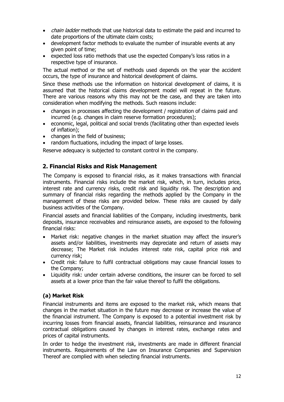- *chain ladder* methods that use historical data to estimate the paid and incurred to date proportions of the ultimate claim costs;
- development factor methods to evaluate the number of insurable events at any given point of time;
- expected loss ratio methods that use the expected Company's loss ratios in a respective type of insurance.

The actual method or the set of methods used depends on the year the accident occurs, the type of insurance and historical development of claims.

Since these methods use the information on historical development of claims, it is assumed that the historical claims development model will repeat in the future. There are various reasons why this may not be the case, and they are taken into consideration when modifying the methods. Such reasons include:

- changes in processes affecting the development / registration of claims paid and incurred (e.g. changes in claim reserve formation procedures);
- economic, legal, political and social trends (facilitating other than expected levels of inflation);
- changes in the field of business;
- random fluctuations, including the impact of large losses.

Reserve adequacy is subjected to constant control in the company.

#### **2. Financial Risks and Risk Management**

The Company is exposed to financial risks, as it makes transactions with financial instruments. Financial risks include the market risk, which, in turn, includes price, interest rate and currency risks, credit risk and liquidity risk. The description and summary of financial risks regarding the methods applied by the Company in the management of these risks are provided below. These risks are caused by daily business activities of the Company.

Financial assets and financial liabilities of the Company, including investments, bank deposits, insurance receivables and reinsurance assets, are exposed to the following financial risks:

- Market risk: negative changes in the market situation may affect the insurer's assets and/or liabilities, investments may depreciate and return of assets may decrease; The Market risk includes interest rate risk, capital price risk and currency risk;
- Credit risk: failure to fulfil contractual obligations may cause financial losses to the Company;
- Liquidity risk: under certain adverse conditions, the insurer can be forced to sell assets at a lower price than the fair value thereof to fulfil the obligations.

#### **(a) Market Risk**

Financial instruments and items are exposed to the market risk, which means that changes in the market situation in the future may decrease or increase the value of the financial instrument. The Company is exposed to a potential investment risk by incurring losses from financial assets, financial liabilities, reinsurance and insurance contractual obligations caused by changes in interest rates, exchange rates and prices of capital instruments.

In order to hedge the investment risk, investments are made in different financial instruments. Requirements of the Law on Insurance Companies and Supervision Thereof are complied with when selecting financial instruments.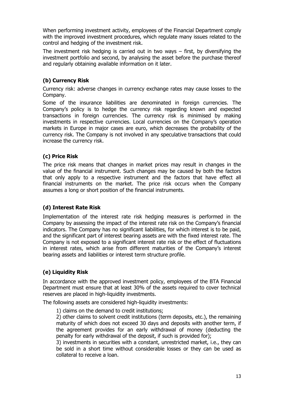When performing investment activity, employees of the Financial Department comply with the improved investment procedures, which regulate many issues related to the control and hedging of the investment risk.

The investment risk hedging is carried out in two ways – first, by diversifying the investment portfolio and second, by analysing the asset before the purchase thereof and regularly obtaining available information on it later.

# **(b) Currency Risk**

Currency risk: adverse changes in currency exchange rates may cause losses to the Company.

Some of the insurance liabilities are denominated in foreign currencies. The Company's policy is to hedge the currency risk regarding known and expected transactions in foreign currencies. The currency risk is minimised by making investments in respective currencies. Local currencies on the Company's operation markets in Europe in major cases are euro, which decreases the probability of the currency risk. The Company is not involved in any speculative transactions that could increase the currency risk.

#### **(c) Price Risk**

The price risk means that changes in market prices may result in changes in the value of the financial instrument. Such changes may be caused by both the factors that only apply to a respective instrument and the factors that have effect all financial instruments on the market. The price risk occurs when the Company assumes a long or short position of the financial instruments.

#### **(d) Interest Rate Risk**

Implementation of the interest rate risk hedging measures is performed in the Company by assessing the impact of the interest rate risk on the Company's financial indicators. The Company has no significant liabilities, for which interest is to be paid, and the significant part of interest bearing assets are with the fixed interest rate. The Company is not exposed to a significant interest rate risk or the effect of fluctuations in interest rates, which arise from different maturities of the Company's interest bearing assets and liabilities or interest term structure profile.

# **(e) Liquidity Risk**

In accordance with the approved investment policy, employees of the BTA Financial Department must ensure that at least 30% of the assets required to cover technical reserves are placed in high-liquidity investments.

The following assets are considered high-liquidity investments:

1) claims on the demand to credit institutions;

2) other claims to solvent credit institutions (term deposits, etc.), the remaining maturity of which does not exceed 30 days and deposits with another term, if the agreement provides for an early withdrawal of money (deducting the penalty for early withdrawal of the deposit, if such is provided for);

3) investments in securities with a constant, unrestricted market, i.e., they can be sold in a short time without considerable losses or they can be used as collateral to receive a loan.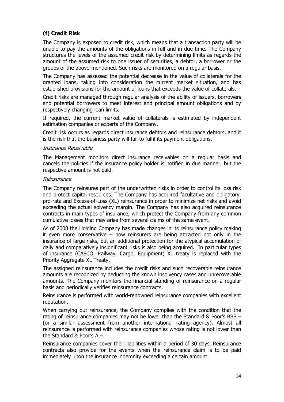# **(f) Credit Risk**

The Company is exposed to credit risk, which means that a transaction party will be unable to pay the amounts of the obligations in full and in due time. The Company structures the levels of the assumed credit risk by determining limits as regards the amount of the assumed risk to one issuer of securities, a debtor, a borrower or the groups of the above-mentioned. Such risks are monitored on a regular basis.

The Company has assessed the potential decrease in the value of collaterals for the granted loans, taking into consideration the current market situation, and has established provisions for the amount of loans that exceeds the value of collaterals.

Credit risks are managed through regular analysis of the ability of issuers, borrowers and potential borrowers to meet interest and principal amount obligations and by respectively changing loan limits.

If required, the current market value of collaterals is estimated by independent estimation companies or experts of the Company.

Credit risk occurs as regards direct insurance debtors and reinsurance debtors, and it is the risk that the business party will fail to fulfil its payment obligations.

#### Insurance Receivable

The Management monitors direct insurance receivables on a regular basis and cancels the policies if the insurance policy holder is notified in due manner, but the respective amount is not paid.

#### Reinsurance

The Company reinsures part of the underwritten risks in order to control its loss risk and protect capital resources. The Company has acquired facultative and obligatory, pro-rata and Excess-of-Loss (XL) reinsurance in order to minimize net risks and avoid exceeding the actual solvency margin. The Company has also acquired reinsurance contracts in main types of insurance, which protect the Company from any common cumulative losses that may arise from several claims of the same event.

As of 2008 the Holding Company has made changes in its reinsurance policy making it even more conservative – now reinsurers are being attracted not only in the insurance of large risks, but an additional protection for the atypical accumulation of daily and comparatively insignificant risks is also being acquired. In particular types of insurance (CASCO, Railway, Cargo, Equipment) XL treaty is replaced with the Priority Aggregate XL Treaty.

The assigned reinsurance includes the credit risks and such recoverable reinsurance amounts are recognized by deducting the known insolvency cases and unrecoverable amounts. The Company monitors the financial standing of reinsurance on a regular basis and periodically verifies reinsurance contracts.

Reinsurance is performed with world-renowned reinsurance companies with excellent reputation.

When carrying out reinsurance, the Company complies with the condition that the rating of reinsurance companies may not be lower than the Standard & Poor's BBB – (or a similar assessment from another international rating agency). Almost all reinsurance is performed with reinsurance companies whose rating is not lower than the Standard & Poor's A –.

Reinsurance companies cover their liabilities within a period of 30 days. Reinsurance contracts also provide for the events when the reinsurance claim is to be paid immediately upon the insurance indemnity exceeding a certain amount.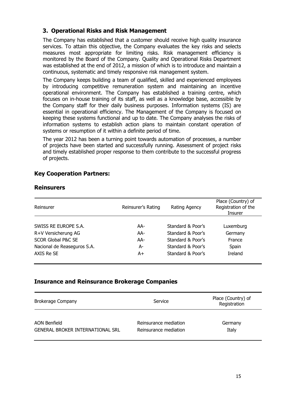# **3. Operational Risks and Risk Management**

The Company has established that a customer should receive high quality insurance services. To attain this objective, the Company evaluates the key risks and selects measures most appropriate for limiting risks. Risk management efficiency is monitored by the Board of the Company. Quality and Operational Risks Department was established at the end of 2012, a mission of which is to introduce and maintain a continuous, systematic and timely responsive risk management system.

The Company keeps building a team of qualified, skilled and experienced employees by introducing competitive remuneration system and maintaining an incentive operational environment. The Company has established a training centre, which focuses on in-house training of its staff, as well as a knowledge base, accessible by the Company staff for their daily business purposes. Information systems (IS) are essential in operational efficiency. The Management of the Company is focused on keeping these systems functional and up to date. The Company analyses the risks of information systems to establish action plans to maintain constant operation of systems or resumption of it within a definite period of time.

The year 2012 has been a turning point towards automation of processes, a number of projects have been started and successfully running. Assessment of project risks and timely established proper response to them contribute to the successful progress of projects.

# **Key Cooperation Partners:**

| Reinsurer                     | Reinsurer's Rating | Rating Agency     | Place (Country) of<br>Registration of the<br><b>Insurer</b> |
|-------------------------------|--------------------|-------------------|-------------------------------------------------------------|
|                               |                    |                   |                                                             |
| SWISS RE EUROPE S.A.          | AA-                | Standard & Poor's | Luxemburg                                                   |
| R+V Versicherung AG           | AA-                | Standard & Poor's | Germany                                                     |
| <b>SCOR Global P&amp;C SE</b> | AA-                | Standard & Poor's | France                                                      |
| Nacional de Reaseguros S.A.   | А-                 | Standard & Poor's | Spain                                                       |
| AXIS Re SE                    | A+                 | Standard & Poor's | <b>Ireland</b>                                              |

#### **Reinsurers**

# **Insurance and Reinsurance Brokerage Companies**

| <b>Brokerage Company</b>                | Service               | Place (Country) of<br>Registration |  |
|-----------------------------------------|-----------------------|------------------------------------|--|
| AON Benfield                            | Reinsurance mediation | Germany                            |  |
| <b>GENERAL BROKER INTERNATIONAL SRL</b> | Reinsurance mediation | Italy                              |  |